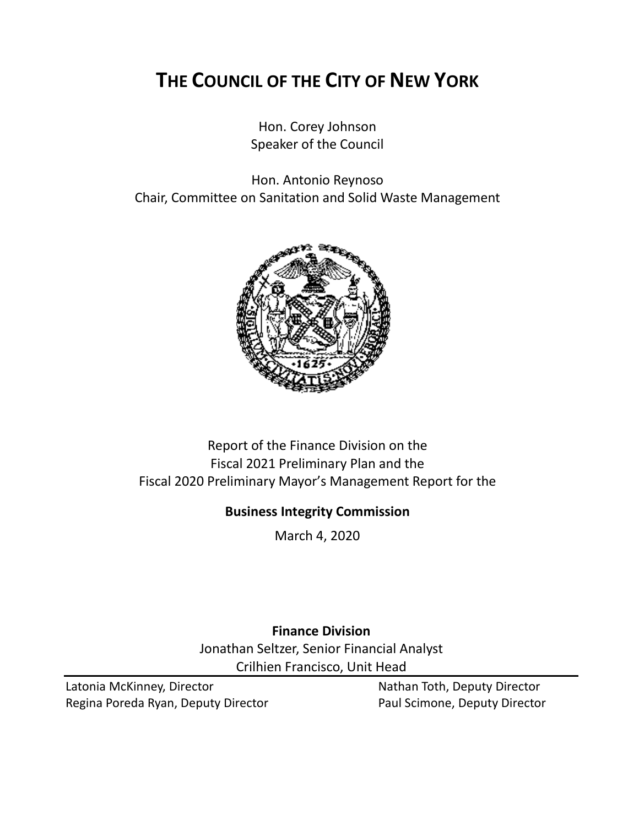# **THE COUNCIL OF THE CITY OF NEW YORK**

Hon. Corey Johnson Speaker of the Council

Hon. Antonio Reynoso Chair, Committee on Sanitation and Solid Waste Management



# Report of the Finance Division on the Fiscal 2021 Preliminary Plan and the Fiscal 2020 Preliminary Mayor's Management Report for the

## **Business Integrity Commission**

March 4, 2020

# **Finance Division** Jonathan Seltzer, Senior Financial Analyst Crilhien Francisco, Unit Head

Latonia McKinney, Director Nathan Toth, Deputy Director Regina Poreda Ryan, Deputy Director **Paul Scimone, Deputy Director**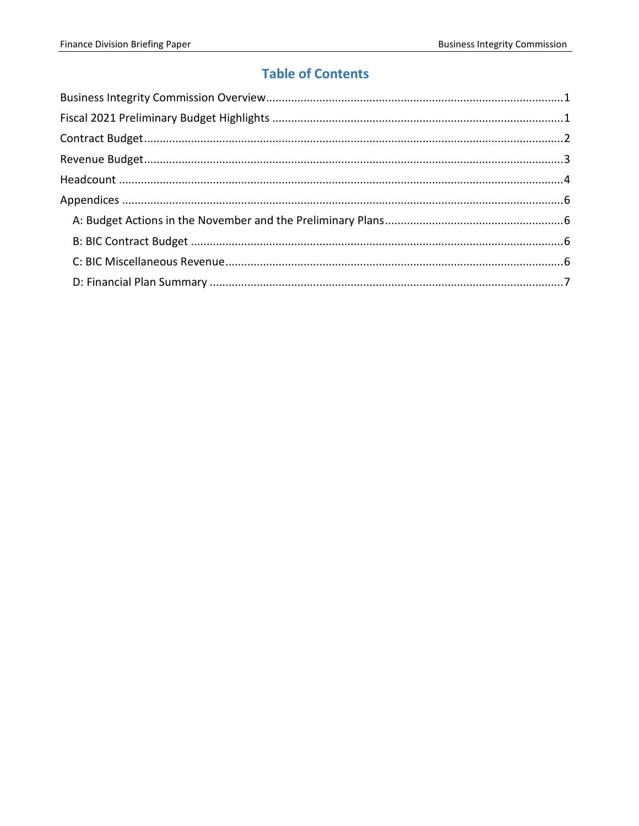# **Table of Contents**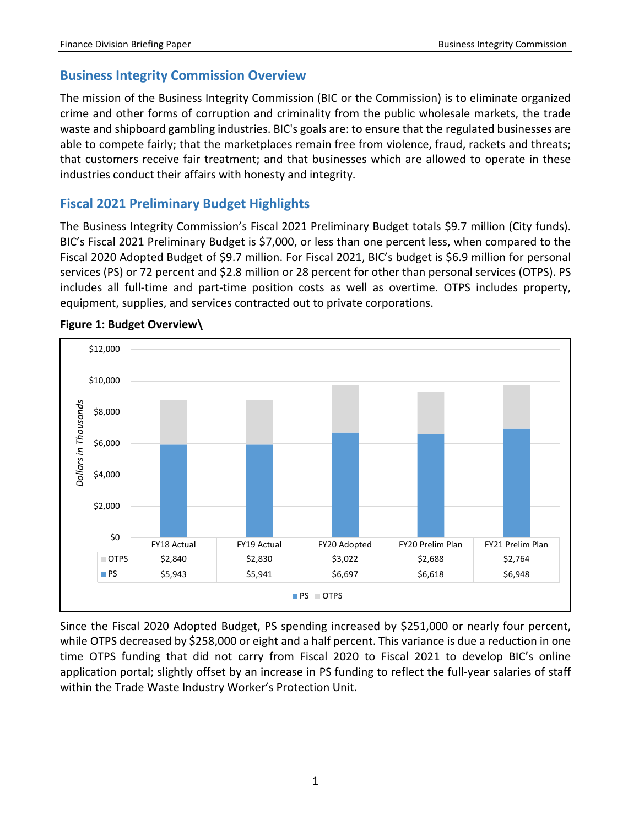## <span id="page-2-0"></span>**Business Integrity Commission Overview**

The mission of the Business Integrity Commission (BIC or the Commission) is to eliminate organized crime and other forms of corruption and criminality from the public wholesale markets, the trade waste and shipboard gambling industries. BIC's goals are: to ensure that the regulated businesses are able to compete fairly; that the marketplaces remain free from violence, fraud, rackets and threats; that customers receive fair treatment; and that businesses which are allowed to operate in these industries conduct their affairs with honesty and integrity.

## <span id="page-2-1"></span>**Fiscal 2021 Preliminary Budget Highlights**

The Business Integrity Commission's Fiscal 2021 Preliminary Budget totals \$9.7 million (City funds). BIC's Fiscal 2021 Preliminary Budget is \$7,000, or less than one percent less, when compared to the Fiscal 2020 Adopted Budget of \$9.7 million. For Fiscal 2021, BIC's budget is \$6.9 million for personal services (PS) or 72 percent and \$2.8 million or 28 percent for other than personal services (OTPS). PS includes all full-time and part-time position costs as well as overtime. OTPS includes property, equipment, supplies, and services contracted out to private corporations.



#### **Figure 1: Budget Overview\**

Since the Fiscal 2020 Adopted Budget, PS spending increased by \$251,000 or nearly four percent, while OTPS decreased by \$258,000 or eight and a half percent. This variance is due a reduction in one time OTPS funding that did not carry from Fiscal 2020 to Fiscal 2021 to develop BIC's online application portal; slightly offset by an increase in PS funding to reflect the full-year salaries of staff within the Trade Waste Industry Worker's Protection Unit.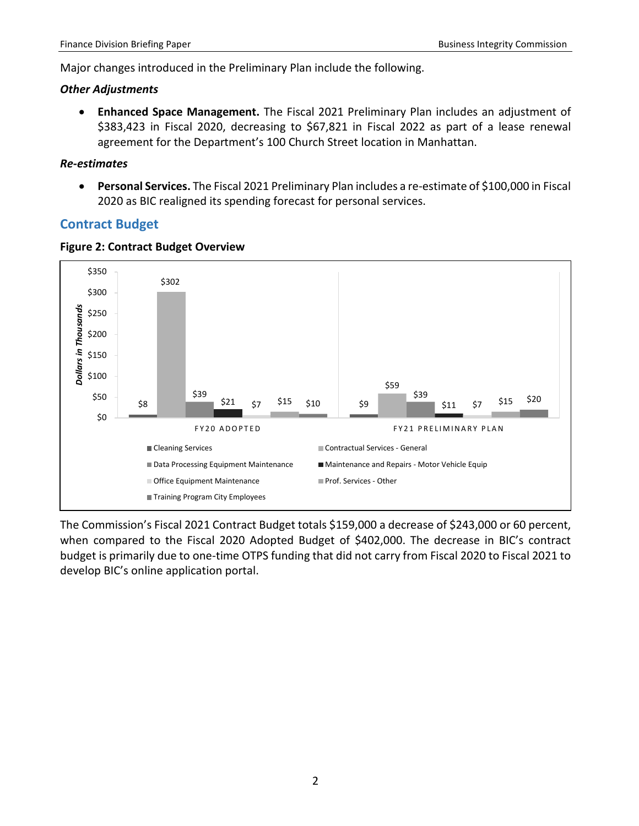Major changes introduced in the Preliminary Plan include the following.

#### *Other Adjustments*

• **Enhanced Space Management.** The Fiscal 2021 Preliminary Plan includes an adjustment of \$383,423 in Fiscal 2020, decreasing to \$67,821 in Fiscal 2022 as part of a lease renewal agreement for the Department's 100 Church Street location in Manhattan.

#### *Re-estimates*

• **Personal Services.** The Fiscal 2021 Preliminary Plan includes a re-estimate of \$100,000 in Fiscal 2020 as BIC realigned its spending forecast for personal services.

## <span id="page-3-0"></span>**Contract Budget**



#### **Figure 2: Contract Budget Overview**

The Commission's Fiscal 2021 Contract Budget totals \$159,000 a decrease of \$243,000 or 60 percent, when compared to the Fiscal 2020 Adopted Budget of \$402,000. The decrease in BIC's contract budget is primarily due to one-time OTPS funding that did not carry from Fiscal 2020 to Fiscal 2021 to develop BIC's online application portal.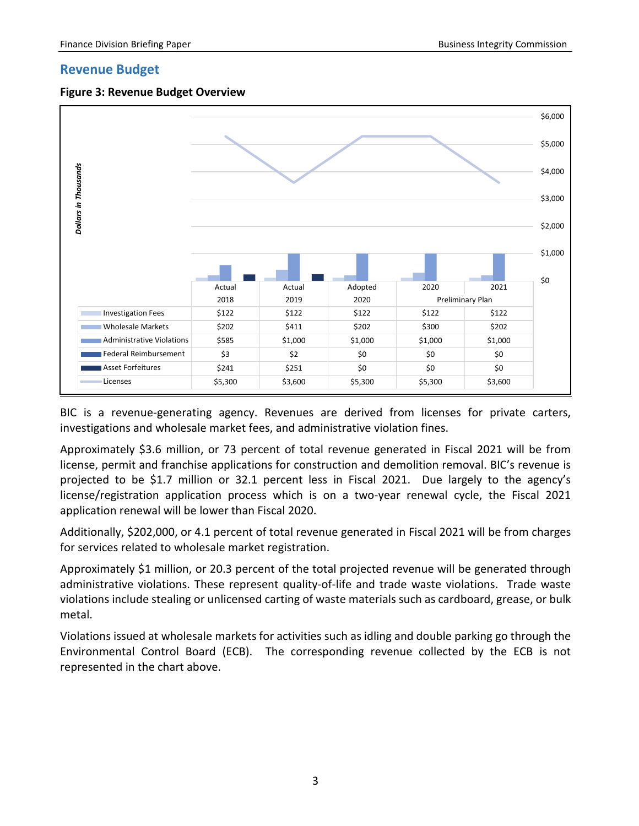#### <span id="page-4-0"></span>**Revenue Budget**





BIC is a revenue-generating agency. Revenues are derived from licenses for private carters, investigations and wholesale market fees, and administrative violation fines.

Approximately \$3.6 million, or 73 percent of total revenue generated in Fiscal 2021 will be from license, permit and franchise applications for construction and demolition removal. BIC's revenue is projected to be \$1.7 million or 32.1 percent less in Fiscal 2021. Due largely to the agency's license/registration application process which is on a two-year renewal cycle, the Fiscal 2021 application renewal will be lower than Fiscal 2020.

Additionally, \$202,000, or 4.1 percent of total revenue generated in Fiscal 2021 will be from charges for services related to wholesale market registration.

Approximately \$1 million, or 20.3 percent of the total projected revenue will be generated through administrative violations. These represent quality-of-life and trade waste violations. Trade waste violations include stealing or unlicensed carting of waste materials such as cardboard, grease, or bulk metal.

Violations issued at wholesale markets for activities such as idling and double parking go through the Environmental Control Board (ECB). The corresponding revenue collected by the ECB is not represented in the chart above.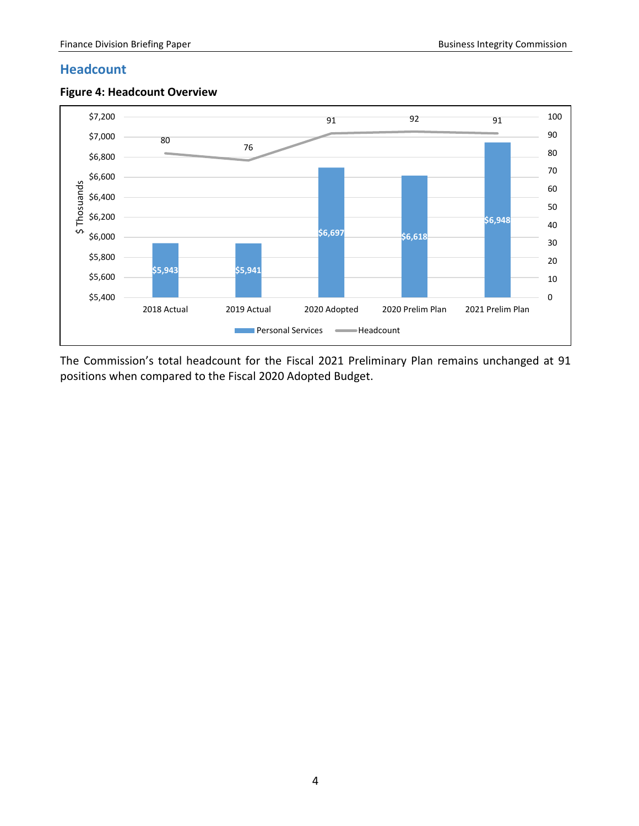#### <span id="page-5-0"></span>**Headcount**



**Figure 4: Headcount Overview** 

The Commission's total headcount for the Fiscal 2021 Preliminary Plan remains unchanged at 91 positions when compared to the Fiscal 2020 Adopted Budget.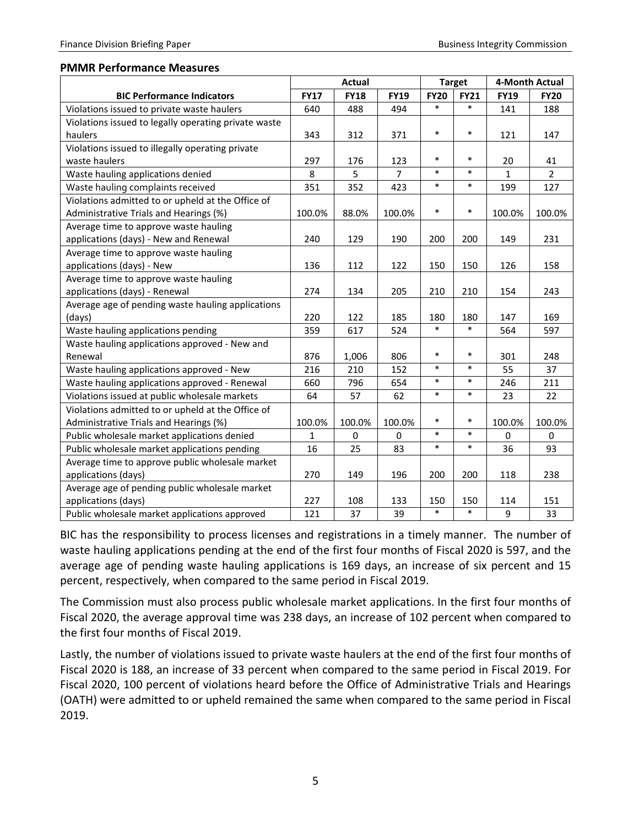#### **PMMR Performance Measures**

|                                                      | <b>Actual</b> |             |                | <b>Target</b> |             | 4-Month Actual |                |
|------------------------------------------------------|---------------|-------------|----------------|---------------|-------------|----------------|----------------|
| <b>BIC Performance Indicators</b>                    | <b>FY17</b>   | <b>FY18</b> | <b>FY19</b>    | <b>FY20</b>   | <b>FY21</b> | <b>FY19</b>    | <b>FY20</b>    |
| Violations issued to private waste haulers           | 640           | 488         | 494            | $\ast$        | $\ast$      | 141            | 188            |
| Violations issued to legally operating private waste |               |             |                |               |             |                |                |
| haulers                                              | 343           | 312         | 371            | $\ast$        | $\ast$      | 121            | 147            |
| Violations issued to illegally operating private     |               |             |                |               |             |                |                |
| waste haulers                                        | 297           | 176         | 123            | $\ast$        | $\ast$      | 20             | 41             |
| Waste hauling applications denied                    | 8             | 5           | $\overline{7}$ | $\ast$        | $\ast$      | $\mathbf{1}$   | $\overline{2}$ |
| Waste hauling complaints received                    | 351           | 352         | 423            | $\ast$        | $\ast$      | 199            | 127            |
| Violations admitted to or upheld at the Office of    |               |             |                |               |             |                |                |
| Administrative Trials and Hearings (%)               | 100.0%        | 88.0%       | 100.0%         | $\ast$        | $\ast$      | 100.0%         | 100.0%         |
| Average time to approve waste hauling                |               |             |                |               |             |                |                |
| applications (days) - New and Renewal                | 240           | 129         | 190            | 200           | 200         | 149            | 231            |
| Average time to approve waste hauling                |               |             |                |               |             |                |                |
| applications (days) - New                            | 136           | 112         | 122            | 150           | 150         | 126            | 158            |
| Average time to approve waste hauling                |               |             |                |               |             |                |                |
| applications (days) - Renewal                        | 274           | 134         | 205            | 210           | 210         | 154            | 243            |
| Average age of pending waste hauling applications    |               |             |                |               |             |                |                |
| (days)                                               | 220           | 122         | 185            | 180           | 180         | 147            | 169            |
| Waste hauling applications pending                   | 359           | 617         | 524            | $\ast$        | $\ast$      | 564            | 597            |
| Waste hauling applications approved - New and        |               |             |                |               |             |                |                |
| Renewal                                              | 876           | 1,006       | 806            | $\ast$        | $\ast$      | 301            | 248            |
| Waste hauling applications approved - New            | 216           | 210         | 152            | $\ast$        | $\ast$      | 55             | 37             |
| Waste hauling applications approved - Renewal        | 660           | 796         | 654            | $\ast$        | $\ast$      | 246            | 211            |
| Violations issued at public wholesale markets        | 64            | 57          | 62             | $\ast$        | $\ast$      | 23             | 22             |
| Violations admitted to or upheld at the Office of    |               |             |                |               |             |                |                |
| Administrative Trials and Hearings (%)               | 100.0%        | 100.0%      | 100.0%         | $\ast$        | $\ast$      | 100.0%         | 100.0%         |
| Public wholesale market applications denied          | $\mathbf{1}$  | 0           | 0              | $\ast$        | $\ast$      | 0              | 0              |
| Public wholesale market applications pending         | 16            | 25          | 83             | $\ast$        | $\ast$      | 36             | 93             |
| Average time to approve public wholesale market      |               |             |                |               |             |                |                |
| applications (days)                                  | 270           | 149         | 196            | 200           | 200         | 118            | 238            |
| Average age of pending public wholesale market       |               |             |                |               |             |                |                |
| applications (days)                                  | 227           | 108         | 133            | 150           | 150         | 114            | 151            |
| Public wholesale market applications approved        | 121           | 37          | 39             | $\ast$        | $\ast$      | 9              | 33             |

BIC has the responsibility to process licenses and registrations in a timely manner. The number of waste hauling applications pending at the end of the first four months of Fiscal 2020 is 597, and the average age of pending waste hauling applications is 169 days, an increase of six percent and 15 percent, respectively, when compared to the same period in Fiscal 2019.

The Commission must also process public wholesale market applications. In the first four months of Fiscal 2020, the average approval time was 238 days, an increase of 102 percent when compared to the first four months of Fiscal 2019.

Lastly, the number of violations issued to private waste haulers at the end of the first four months of Fiscal 2020 is 188, an increase of 33 percent when compared to the same period in Fiscal 2019. For Fiscal 2020, 100 percent of violations heard before the Office of Administrative Trials and Hearings (OATH) were admitted to or upheld remained the same when compared to the same period in Fiscal 2019.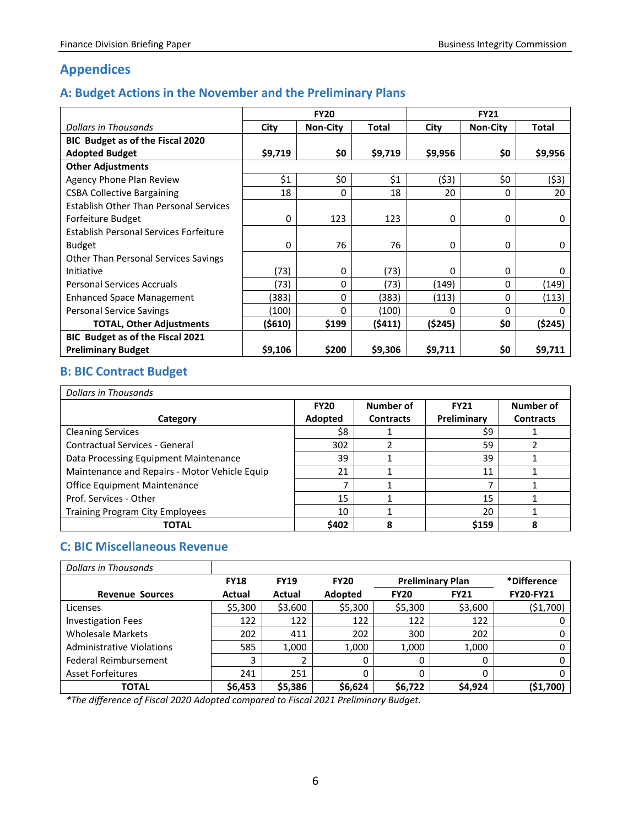## <span id="page-7-0"></span>**Appendices**

### <span id="page-7-1"></span>**A: Budget Actions in the November and the Preliminary Plans**

|                                               | <b>FY20</b> |                 |              | <b>FY21</b>  |                 |              |  |
|-----------------------------------------------|-------------|-----------------|--------------|--------------|-----------------|--------------|--|
| Dollars in Thousands                          | City        | <b>Non-City</b> | <b>Total</b> | City         | <b>Non-City</b> | <b>Total</b> |  |
| BIC Budget as of the Fiscal 2020              |             |                 |              |              |                 |              |  |
| <b>Adopted Budget</b>                         | \$9,719     | \$0             | \$9,719      | \$9,956      | \$0             | \$9,956      |  |
| <b>Other Adjustments</b>                      |             |                 |              |              |                 |              |  |
| Agency Phone Plan Review                      | \$1         | \$0             | \$1          | (53)         | \$0             | (\$3)        |  |
| <b>CSBA Collective Bargaining</b>             | 18          | $\Omega$        | 18           | 20           | $\Omega$        | 20           |  |
| <b>Establish Other Than Personal Services</b> |             |                 |              |              |                 |              |  |
| Forfeiture Budget                             | 0           | 123             | 123          | 0            | 0               | 0            |  |
| Establish Personal Services Forfeiture        |             |                 |              |              |                 |              |  |
| <b>Budget</b>                                 | 0           | 76              | 76           | 0            | 0               | 0            |  |
| <b>Other Than Personal Services Savings</b>   |             |                 |              |              |                 |              |  |
| Initiative                                    | (73)        | 0               | (73)         | 0            | 0               | 0            |  |
| <b>Personal Services Accruals</b>             | (73)        | 0               | (73)         | (149)        | 0               | (149)        |  |
| <b>Enhanced Space Management</b>              | (383)       | 0               | (383)        | (113)        | 0               | (113)        |  |
| Personal Service Savings                      | (100)       | 0               | (100)        | <sup>0</sup> | $\Omega$        |              |  |
| <b>TOTAL, Other Adjustments</b>               | (\$610)     | \$199           | (\$411)      | (\$245)      | \$0             | (\$245)      |  |
| BIC Budget as of the Fiscal 2021              |             |                 |              |              |                 |              |  |
| <b>Preliminary Budget</b>                     | \$9,106     | \$200           | \$9,306      | \$9,711      | \$0             | \$9,711      |  |

## <span id="page-7-2"></span>**B: BIC Contract Budget**

| <b>Dollars in Thousands</b>                   |             |                  |             |                  |  |  |  |  |  |
|-----------------------------------------------|-------------|------------------|-------------|------------------|--|--|--|--|--|
|                                               | <b>FY20</b> | Number of        | <b>FY21</b> | Number of        |  |  |  |  |  |
| Category                                      | Adopted     | <b>Contracts</b> | Preliminary | <b>Contracts</b> |  |  |  |  |  |
| <b>Cleaning Services</b>                      | \$8         |                  | \$9         |                  |  |  |  |  |  |
| Contractual Services - General                | 302         |                  | 59          |                  |  |  |  |  |  |
| Data Processing Equipment Maintenance         | 39          |                  | 39          |                  |  |  |  |  |  |
| Maintenance and Repairs - Motor Vehicle Equip | 21          |                  | 11          |                  |  |  |  |  |  |
| Office Equipment Maintenance                  |             |                  |             |                  |  |  |  |  |  |
| Prof. Services - Other                        | 15          |                  | 15          |                  |  |  |  |  |  |
| <b>Training Program City Employees</b>        | 10          |                  | 20          |                  |  |  |  |  |  |
| TOTAL                                         | \$402       | 8                | \$159       |                  |  |  |  |  |  |

#### <span id="page-7-3"></span>**C: BIC Miscellaneous Revenue**

| Dollars in Thousands             |             |             |             |             |                         |                  |
|----------------------------------|-------------|-------------|-------------|-------------|-------------------------|------------------|
|                                  | <b>FY18</b> | <b>FY19</b> | <b>FY20</b> |             | <b>Preliminary Plan</b> |                  |
| <b>Revenue Sources</b>           | Actual      | Actual      | Adopted     | <b>FY20</b> | <b>FY21</b>             | <b>FY20-FY21</b> |
| Licenses                         | \$5,300     | \$3,600     | \$5,300     | \$5,300     | \$3,600                 | (\$1,700)        |
| <b>Investigation Fees</b>        | 122         | 122         | 122         | 122         | 122                     | 0                |
| <b>Wholesale Markets</b>         | 202         | 411         | 202         | 300         | 202                     | 0                |
| <b>Administrative Violations</b> | 585         | 1.000       | 1,000       | 1,000       | 1,000                   | 0                |
| Federal Reimbursement            | 3           |             | 0           | 0           | 0                       |                  |
| <b>Asset Forfeitures</b>         | 241         | 251         |             |             | 0                       | 0                |
| TOTAL                            | \$6,453     | \$5,386     | \$6,624     | \$6,722     | \$4,924                 | (\$1,700)        |

*\*The difference of Fiscal 2020 Adopted compared to Fiscal 2021 Preliminary Budget.*